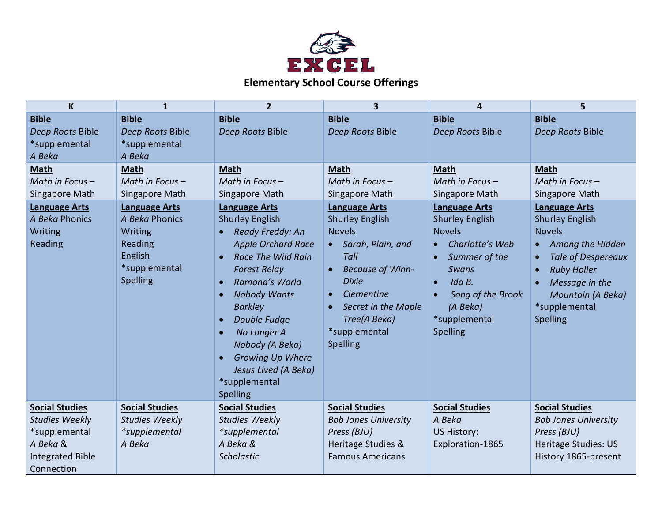

| K                                                                                                                    | 1                                                                                                    | $\overline{2}$                                                                                                                                                                                                                                                                                                                                                                    | $\overline{\mathbf{3}}$                                                                                                                                                                                                                                          | 4                                                                                                                                                                                                                     | 5                                                                                                                                                                                                                                                 |
|----------------------------------------------------------------------------------------------------------------------|------------------------------------------------------------------------------------------------------|-----------------------------------------------------------------------------------------------------------------------------------------------------------------------------------------------------------------------------------------------------------------------------------------------------------------------------------------------------------------------------------|------------------------------------------------------------------------------------------------------------------------------------------------------------------------------------------------------------------------------------------------------------------|-----------------------------------------------------------------------------------------------------------------------------------------------------------------------------------------------------------------------|---------------------------------------------------------------------------------------------------------------------------------------------------------------------------------------------------------------------------------------------------|
| <b>Bible</b><br>Deep Roots Bible<br>*supplemental<br>A Beka                                                          | <b>Bible</b><br>Deep Roots Bible<br>*supplemental<br>A Beka                                          | <b>Bible</b><br>Deep Roots Bible                                                                                                                                                                                                                                                                                                                                                  | <b>Bible</b><br>Deep Roots Bible                                                                                                                                                                                                                                 | <b>Bible</b><br>Deep Roots Bible                                                                                                                                                                                      | <b>Bible</b><br>Deep Roots Bible                                                                                                                                                                                                                  |
| <b>Math</b><br>Math in Focus -<br>Singapore Math                                                                     | <b>Math</b><br>Math in Focus $-$<br>Singapore Math                                                   | <b>Math</b><br>Math in Focus -<br>Singapore Math                                                                                                                                                                                                                                                                                                                                  | <b>Math</b><br>Math in Focus -<br>Singapore Math                                                                                                                                                                                                                 | <b>Math</b><br>Math in Focus -<br>Singapore Math                                                                                                                                                                      | <b>Math</b><br>Math in Focus-<br>Singapore Math                                                                                                                                                                                                   |
| <b>Language Arts</b><br>A Beka Phonics<br>Writing<br>Reading                                                         | <b>Language Arts</b><br>A Beka Phonics<br>Writing<br>Reading<br>English<br>*supplemental<br>Spelling | <b>Language Arts</b><br><b>Shurley English</b><br>Ready Freddy: An<br><b>Apple Orchard Race</b><br><b>Race The Wild Rain</b><br><b>Forest Relay</b><br>Ramona's World<br><b>Nobody Wants</b><br>$\bullet$<br><b>Barkley</b><br>Double Fudge<br>$\bullet$<br>No Longer A<br>Nobody (A Beka)<br><b>Growing Up Where</b><br>Jesus Lived (A Beka)<br>*supplemental<br><b>Spelling</b> | <b>Language Arts</b><br><b>Shurley English</b><br><b>Novels</b><br>Sarah, Plain, and<br>$\bullet$<br>Tall<br><b>Because of Winn-</b><br>$\bullet$<br><b>Dixie</b><br>Clementine<br>$\bullet$<br>Secret in the Maple<br>Tree(A Beka)<br>*supplemental<br>Spelling | <b>Language Arts</b><br><b>Shurley English</b><br><b>Novels</b><br>Charlotte's Web<br>Summer of the<br>$\bullet$<br><b>Swans</b><br>Ida B.<br>$\bullet$<br>Song of the Brook<br>(A Beka)<br>*supplemental<br>Spelling | <b>Language Arts</b><br><b>Shurley English</b><br><b>Novels</b><br>Among the Hidden<br>$\bullet$<br><b>Tale of Despereaux</b><br>$\bullet$<br><b>Ruby Holler</b><br>$\bullet$<br>Message in the<br>Mountain (A Beka)<br>*supplemental<br>Spelling |
| <b>Social Studies</b><br><b>Studies Weekly</b><br>*supplemental<br>A Beka &<br><b>Integrated Bible</b><br>Connection | <b>Social Studies</b><br><b>Studies Weekly</b><br>*supplemental<br>A Beka                            | <b>Social Studies</b><br><b>Studies Weekly</b><br>*supplemental<br>A Beka &<br><b>Scholastic</b>                                                                                                                                                                                                                                                                                  | <b>Social Studies</b><br><b>Bob Jones University</b><br>Press (BJU)<br>Heritage Studies &<br><b>Famous Americans</b>                                                                                                                                             | <b>Social Studies</b><br>A Beka<br><b>US History:</b><br>Exploration-1865                                                                                                                                             | <b>Social Studies</b><br><b>Bob Jones University</b><br>Press (BJU)<br>Heritage Studies: US<br>History 1865-present                                                                                                                               |